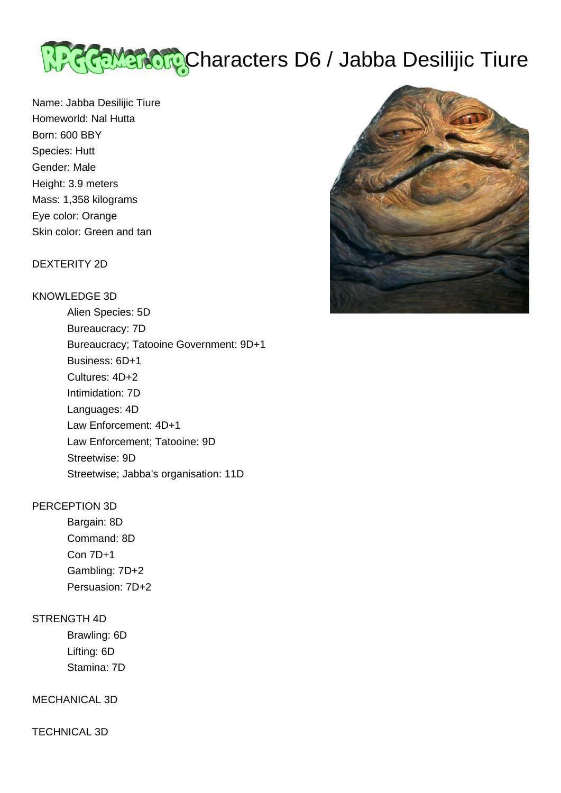

Name: Jabba Desilijic Tiure Homeworld: Nal Hutta Born: 600 BBY Species: Hutt Gender: Male Height: 3.9 meters Mass: 1,358 kilograms Eye color: Orange Skin color: Green and tan

#### DEXTERITY 2D

# KNOWLEDGE 3D

 Alien Species: 5D Bureaucracy: 7D Bureaucracy; Tatooine Government: 9D+1 Business: 6D+1 Cultures: 4D+2 Intimidation: 7D Languages: 4D Law Enforcement: 4D+1 Law Enforcement; Tatooine: 9D Streetwise: 9D Streetwise; Jabba's organisation: 11D

## PERCEPTION 3D

 Bargain: 8D Command: 8D Con 7D+1 Gambling: 7D+2 Persuasion: 7D+2

## STRENGTH 4D

 Brawling: 6D Lifting: 6D Stamina: 7D

## MECHANICAL 3D

TECHNICAL 3D

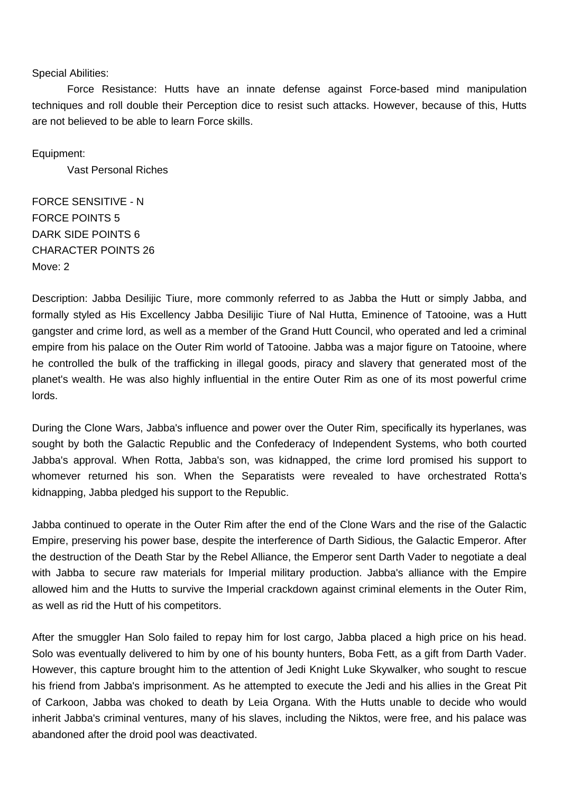#### Special Abilities:

 Force Resistance: Hutts have an innate defense against Force-based mind manipulation techniques and roll double their Perception dice to resist such attacks. However, because of this, Hutts are not believed to be able to learn Force skills.

Equipment:

Vast Personal Riches

FORCE SENSITIVE - N FORCE POINTS 5 DARK SIDE POINTS 6 CHARACTER POINTS 26 Move: 2

Description: Jabba Desilijic Tiure, more commonly referred to as Jabba the Hutt or simply Jabba, and formally styled as His Excellency Jabba Desilijic Tiure of Nal Hutta, Eminence of Tatooine, was a Hutt gangster and crime lord, as well as a member of the Grand Hutt Council, who operated and led a criminal empire from his palace on the Outer Rim world of Tatooine. Jabba was a major figure on Tatooine, where he controlled the bulk of the trafficking in illegal goods, piracy and slavery that generated most of the planet's wealth. He was also highly influential in the entire Outer Rim as one of its most powerful crime lords.

During the Clone Wars, Jabba's influence and power over the Outer Rim, specifically its hyperlanes, was sought by both the Galactic Republic and the Confederacy of Independent Systems, who both courted Jabba's approval. When Rotta, Jabba's son, was kidnapped, the crime lord promised his support to whomever returned his son. When the Separatists were revealed to have orchestrated Rotta's kidnapping, Jabba pledged his support to the Republic.

Jabba continued to operate in the Outer Rim after the end of the Clone Wars and the rise of the Galactic Empire, preserving his power base, despite the interference of Darth Sidious, the Galactic Emperor. After the destruction of the Death Star by the Rebel Alliance, the Emperor sent Darth Vader to negotiate a deal with Jabba to secure raw materials for Imperial military production. Jabba's alliance with the Empire allowed him and the Hutts to survive the Imperial crackdown against criminal elements in the Outer Rim, as well as rid the Hutt of his competitors.

After the smuggler Han Solo failed to repay him for lost cargo, Jabba placed a high price on his head. Solo was eventually delivered to him by one of his bounty hunters, Boba Fett, as a gift from Darth Vader. However, this capture brought him to the attention of Jedi Knight Luke Skywalker, who sought to rescue his friend from Jabba's imprisonment. As he attempted to execute the Jedi and his allies in the Great Pit of Carkoon, Jabba was choked to death by Leia Organa. With the Hutts unable to decide who would inherit Jabba's criminal ventures, many of his slaves, including the Niktos, were free, and his palace was abandoned after the droid pool was deactivated.